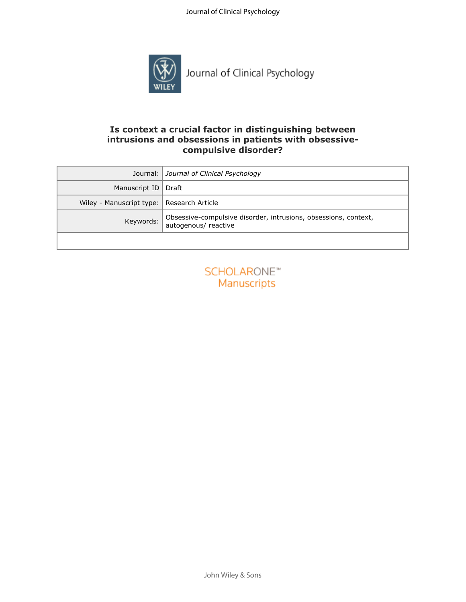

## **Is context a crucial factor in distinguishing between intrusions and obsessions in patients with obsessivecompulsive disorder?**

| Journal:                                                                                             | Journal of Clinical Psychology    |  |  |  |
|------------------------------------------------------------------------------------------------------|-----------------------------------|--|--|--|
| Manuscript ID                                                                                        | Draft                             |  |  |  |
| Wiley - Manuscript type:<br>Research Article                                                         |                                   |  |  |  |
| Obsessive-compulsive disorder, intrusions, obsessions, context,<br>Keywords:<br>autogenous/ reactive |                                   |  |  |  |
|                                                                                                      |                                   |  |  |  |
|                                                                                                      | <b>SCHOLARONE™</b><br>Manuscripts |  |  |  |

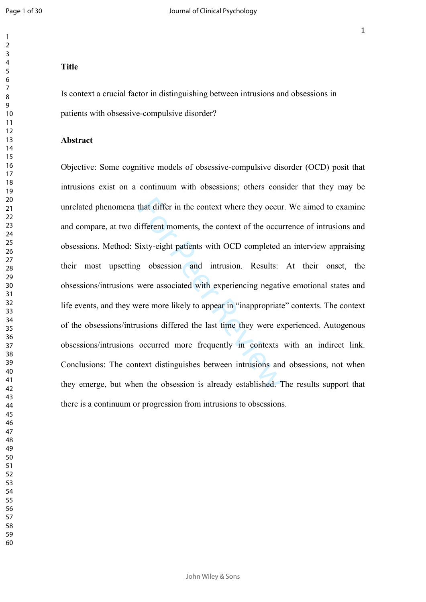$\mathbf{1}$ 

## **Title**

Is context a crucial factor in distinguishing between intrusions and obsessions in patients with obsessive-compulsive disorder?

#### **Abstract**

that differ in the context where they occur<br>
ifferent moments, the context of the occur<br>
iixty-eight patients with OCD completed<br>
g obsession and intrusion. Results:<br>
were associated with experiencing negative<br>
rere more l Objective: Some cognitive models of obsessive-compulsive disorder (OCD) posit that intrusions exist on a continuum with obsessions; others consider that they may be unrelated phenomena that differ in the context where they occur. We aimed to examine and compare, at two different moments, the context of the occurrence of intrusions and obsessions. Method: Sixty-eight patients with OCD completed an interview appraising their most upsetting obsession and intrusion. Results: At their onset, the obsessions/intrusions were associated with experiencing negative emotional states and life events, and they were more likely to appear in "inappropriate" contexts. The context of the obsessions/intrusions differed the last time they were experienced. Autogenous obsessions/intrusions occurred more frequently in contexts with an indirect link. Conclusions: The context distinguishes between intrusions and obsessions, not when they emerge, but when the obsession is already established. The results support that there is a continuum or progression from intrusions to obsessions.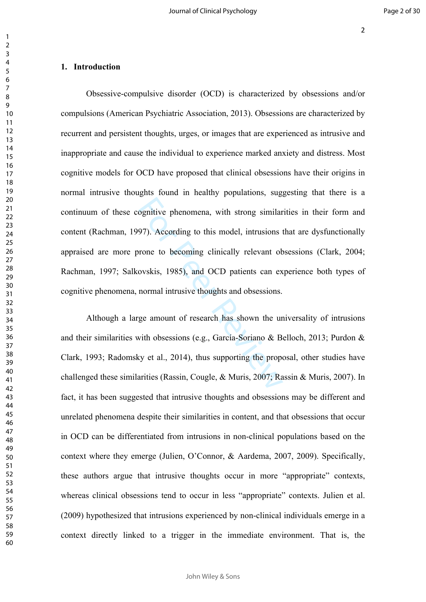#### 

## **1. Introduction**

Solutive phenomena, with strong similar<br>97). According to this model, intrusions is<br>prone to becoming clinically relevant ob<br>ovskis, 1985), and OCD patients can ex<br>normal intrusive thoughts and obsessions.<br>ge amount of res Obsessive-compulsive disorder (OCD) is characterized by obsessions and/or compulsions (American Psychiatric Association, 2013). Obsessions are characterized by recurrent and persistent thoughts, urges, or images that are experienced as intrusive and inappropriate and cause the individual to experience marked anxiety and distress. Most cognitive models for OCD have proposed that clinical obsessions have their origins in normal intrusive thoughts found in healthy populations, suggesting that there is a continuum of these cognitive phenomena, with strong similarities in their form and content (Rachman, 1997). According to this model, intrusions that are dysfunctionally appraised are more prone to becoming clinically relevant obsessions (Clark, 2004; Rachman, 1997; Salkovskis, 1985), and OCD patients can experience both types of cognitive phenomena, normal intrusive thoughts and obsessions.

Although a large amount of research has shown the universality of intrusions and their similarities with obsessions (e.g., García-Soriano & Belloch, 2013; Purdon & Clark, 1993; Radomsky et al., 2014), thus supporting the proposal, other studies have challenged these similarities (Rassin, Cougle, & Muris, 2007; Rassin & Muris, 2007). In fact, it has been suggested that intrusive thoughts and obsessions may be different and unrelated phenomena despite their similarities in content, and that obsessions that occur in OCD can be differentiated from intrusions in non-clinical populations based on the context where they emerge (Julien, O'Connor, & Aardema, 2007, 2009). Specifically, these authors argue that intrusive thoughts occur in more "appropriate" contexts, whereas clinical obsessions tend to occur in less "appropriate" contexts. Julien et al. (2009) hypothesized that intrusions experienced by non-clinical individuals emerge in a context directly linked to a trigger in the immediate environment. That is, the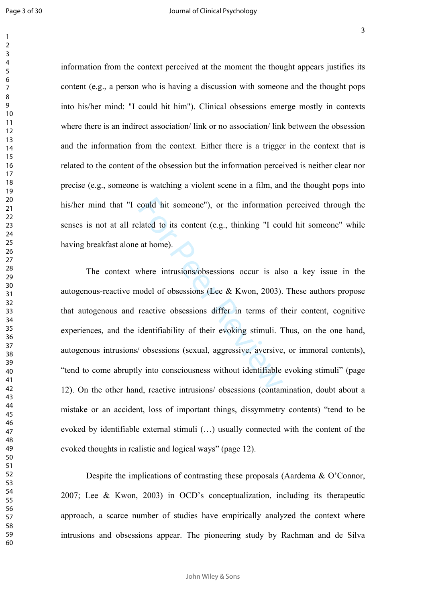$\mathbf{1}$ 

information from the context perceived at the moment the thought appears justifies its content (e.g., a person who is having a discussion with someone and the thought pops into his/her mind: "I could hit him"). Clinical obsessions emerge mostly in contexts where there is an indirect association/ link or no association/ link between the obsession and the information from the context. Either there is a trigger in the context that is related to the content of the obsession but the information perceived is neither clear nor precise (e.g., someone is watching a violent scene in a film, and the thought pops into his/her mind that "I could hit someone"), or the information perceived through the senses is not at all related to its content (e.g., thinking "I could hit someone" while having breakfast alone at home).

could hit someone"), or the information<br>lated to its content (e.g., thinking "I count<br>at home).<br>where intrusions/obsessions occur is also<br>nodel of obsessions (Lee & Kwon, 2003).<br>reactive obsessions differ in terms of t<br>ide The context where intrusions/obsessions occur is also a key issue in the autogenous-reactive model of obsessions (Lee & Kwon, 2003). These authors propose that autogenous and reactive obsessions differ in terms of their content, cognitive experiences, and the identifiability of their evoking stimuli. Thus, on the one hand, autogenous intrusions/ obsessions (sexual, aggressive, aversive, or immoral contents), "tend to come abruptly into consciousness without identifiable evoking stimuli" (page 12). On the other hand, reactive intrusions/ obsessions (contamination, doubt about a mistake or an accident, loss of important things, dissymmetry contents) "tend to be evoked by identifiable external stimuli (…) usually connected with the content of the evoked thoughts in realistic and logical ways" (page 12).

Despite the implications of contrasting these proposals (Aardema & O'Connor, 2007; Lee & Kwon, 2003) in OCD's conceptualization, including its therapeutic approach, a scarce number of studies have empirically analyzed the context where intrusions and obsessions appear. The pioneering study by Rachman and de Silva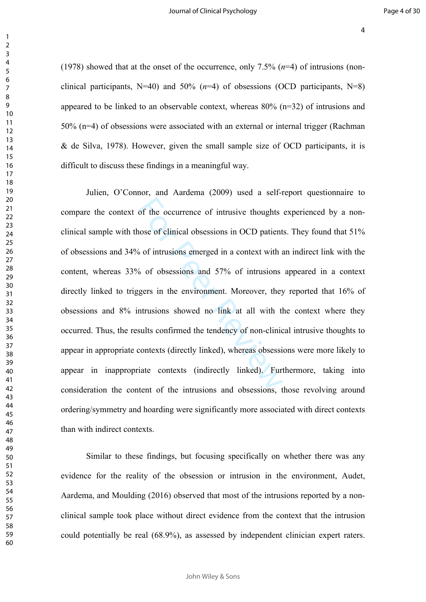(1978) showed that at the onset of the occurrence, only 7.5% (*n*=4) of intrusions (nonclinical participants, N=40) and 50% (*n*=4) of obsessions (OCD participants, N=8) appeared to be linked to an observable context, whereas  $80\%$  (n=32) of intrusions and 50% (n=4) of obsessions were associated with an external or internal trigger (Rachman & de Silva, 1978). However, given the small sample size of OCD participants, it is difficult to discuss these findings in a meaningful way.

of the occurrence of intrusive thoughts<br>nose of clinical obsessions in OCD patient<br>6 of intrusions emerged in a context with a<br>6 of obsessions and 57% of intrusions<br>gers in the environment. Moreover, they<br>ntrusions showed Julien, O'Connor, and Aardema (2009) used a self-report questionnaire to compare the context of the occurrence of intrusive thoughts experienced by a nonclinical sample with those of clinical obsessions in OCD patients. They found that 51% of obsessions and 34% of intrusions emerged in a context with an indirect link with the content, whereas 33% of obsessions and 57% of intrusions appeared in a context directly linked to triggers in the environment. Moreover, they reported that 16% of obsessions and 8% intrusions showed no link at all with the context where they occurred. Thus, the results confirmed the tendency of non-clinical intrusive thoughts to appear in appropriate contexts (directly linked), whereas obsessions were more likely to appear in inappropriate contexts (indirectly linked). Furthermore, taking into consideration the content of the intrusions and obsessions, those revolving around ordering/symmetry and hoarding were significantly more associated with direct contexts than with indirect contexts.

Similar to these findings, but focusing specifically on whether there was any evidence for the reality of the obsession or intrusion in the environment, Audet, Aardema, and Moulding (2016) observed that most of the intrusions reported by a nonclinical sample took place without direct evidence from the context that the intrusion could potentially be real (68.9%), as assessed by independent clinician expert raters.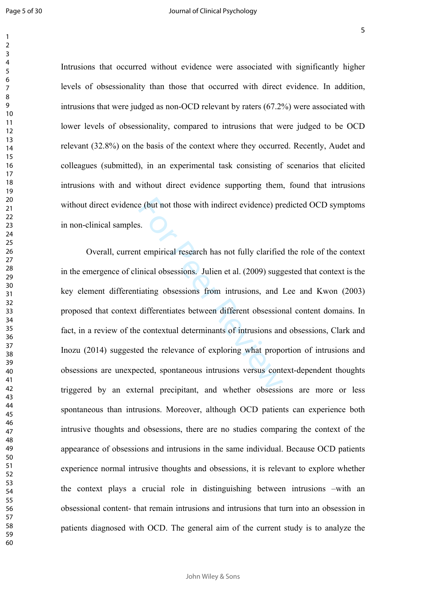Intrusions that occurred without evidence were associated with significantly higher levels of obsessionality than those that occurred with direct evidence. In addition, intrusions that were judged as non-OCD relevant by raters (67.2%) were associated with lower levels of obsessionality, compared to intrusions that were judged to be OCD relevant (32.8%) on the basis of the context where they occurred. Recently, Audet and colleagues (submitted), in an experimental task consisting of scenarios that elicited intrusions with and without direct evidence supporting them, found that intrusions without direct evidence (but not those with indirect evidence) predicted OCD symptoms in non-clinical samples.

e (but not those with indirect evidence) proposed as<br>tempirical research has not fully clarified<br>inical obsessions. Julien et al. (2009) suggediating obsessions from intrusions, and indifferentiates between different obses Overall, current empirical research has not fully clarified the role of the context in the emergence of clinical obsessions. Julien et al. (2009) suggested that context is the key element differentiating obsessions from intrusions, and Lee and Kwon (2003) proposed that context differentiates between different obsessional content domains. In fact, in a review of the contextual determinants of intrusions and obsessions, Clark and Inozu (2014) suggested the relevance of exploring what proportion of intrusions and obsessions are unexpected, spontaneous intrusions versus context-dependent thoughts triggered by an external precipitant, and whether obsessions are more or less spontaneous than intrusions. Moreover, although OCD patients can experience both intrusive thoughts and obsessions, there are no studies comparing the context of the appearance of obsessions and intrusions in the same individual. Because OCD patients experience normal intrusive thoughts and obsessions, it is relevant to explore whether the context plays a crucial role in distinguishing between intrusions –with an obsessional content- that remain intrusions and intrusions that turn into an obsession in patients diagnosed with OCD. The general aim of the current study is to analyze the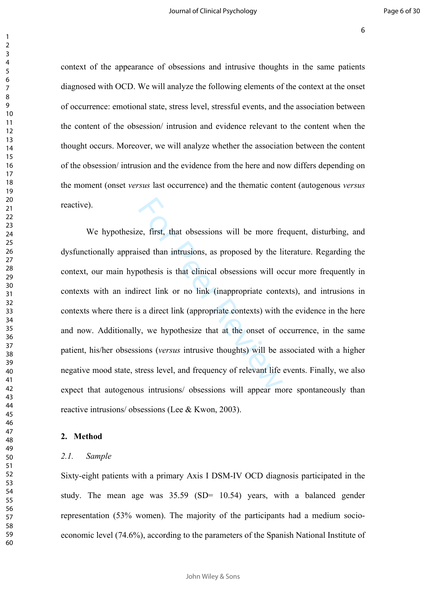context of the appearance of obsessions and intrusive thoughts in the same patients diagnosed with OCD. We will analyze the following elements of the context at the onset of occurrence: emotional state, stress level, stressful events, and the association between the content of the obsession/ intrusion and evidence relevant to the content when the thought occurs. Moreover, we will analyze whether the association between the content of the obsession/ intrusion and the evidence from the here and now differs depending on the moment (onset *versus* last occurrence) and the thematic content (autogenous *versus* reactive).

E. First, that obsessions will be more freed than intrusions, as proposed by the live othesis is that clinical obsessions will occret link or no link (inappropriate contexts) with a a direct link (appropriate contexts) wit We hypothesize, first, that obsessions will be more frequent, disturbing, and dysfunctionally appraised than intrusions, as proposed by the literature. Regarding the context, our main hypothesis is that clinical obsessions will occur more frequently in contexts with an indirect link or no link (inappropriate contexts), and intrusions in contexts where there is a direct link (appropriate contexts) with the evidence in the here and now. Additionally, we hypothesize that at the onset of occurrence, in the same patient, his/her obsessions (*versus* intrusive thoughts) will be associated with a higher negative mood state, stress level, and frequency of relevant life events. Finally, we also expect that autogenous intrusions/ obsessions will appear more spontaneously than reactive intrusions/ obsessions (Lee & Kwon, 2003).

#### **2. Method**

### *2.1. Sample*

Sixty-eight patients with a primary Axis I DSM-IV OCD diagnosis participated in the study. The mean age was 35.59 (SD= 10.54) years, with a balanced gender representation (53% women). The majority of the participants had a medium socioeconomic level (74.6%), according to the parameters of the Spanish National Institute of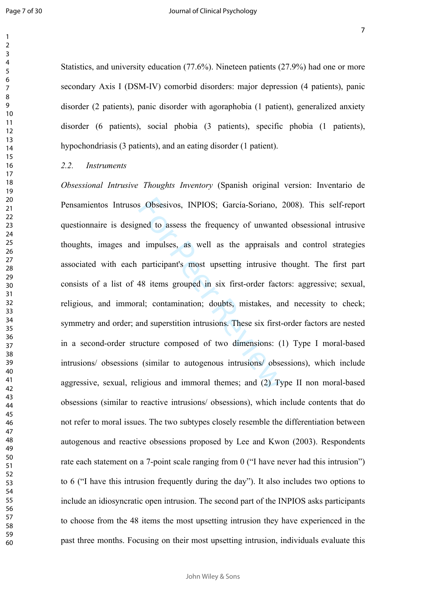$\mathbf{1}$  $\overline{2}$  $\overline{3}$  $\overline{4}$  $\overline{7}$ 

Statistics, and university education (77.6%). Nineteen patients (27.9%) had one or more secondary Axis I (DSM-IV) comorbid disorders: major depression (4 patients), panic disorder (2 patients), panic disorder with agoraphobia (1 patient), generalized anxiety disorder (6 patients), social phobia (3 patients), specific phobia (1 patients), hypochondriasis (3 patients), and an eating disorder (1 patient).

### *2.2. Instruments*

s Obsesivos, INPIOS; García-Soriano, 2<br>
and to assess the frequency of unwante<br>
d impulses, as well as the appraisals<br>
participant's most upsetting intrusive t<br>
48 items grouped in six first-order fact<br>
cal; contamination; *Obsessional Intrusive Thoughts Inventory* (Spanish original version: Inventario de Pensamientos Intrusos Obsesivos, INPIOS; García-Soriano, 2008). This self-report questionnaire is designed to assess the frequency of unwanted obsessional intrusive thoughts, images and impulses, as well as the appraisals and control strategies associated with each participant's most upsetting intrusive thought. The first part consists of a list of 48 items grouped in six first-order factors: aggressive; sexual, religious, and immoral; contamination; doubts, mistakes, and necessity to check; symmetry and order; and superstition intrusions. These six first-order factors are nested in a second-order structure composed of two dimensions: (1) Type I moral-based intrusions/ obsessions (similar to autogenous intrusions/ obsessions), which include aggressive, sexual, religious and immoral themes; and (2) Type II non moral-based obsessions (similar to reactive intrusions/ obsessions), which include contents that do not refer to moral issues. The two subtypes closely resemble the differentiation between autogenous and reactive obsessions proposed by Lee and Kwon (2003). Respondents rate each statement on a 7-point scale ranging from 0 ("I have never had this intrusion") to 6 ("I have this intrusion frequently during the day"). It also includes two options to include an idiosyncratic open intrusion. The second part of the INPIOS asks participants to choose from the 48 items the most upsetting intrusion they have experienced in the past three months. Focusing on their most upsetting intrusion, individuals evaluate this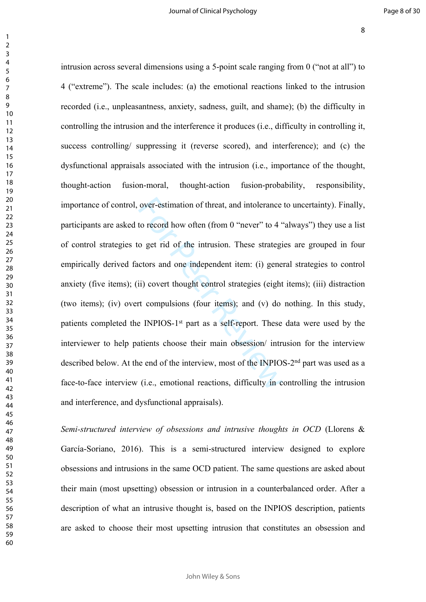over-estimation of threat, and intolerance<br>to record how often (from 0 "never" to 4 "<br>o get rid of the intrusion. These strategi<br>ctors and one independent item: (i) gene<br>ii) covert thought control strategies (eight<br>rt comp intrusion across several dimensions using a 5-point scale ranging from 0 ("not at all") to 4 ("extreme"). The scale includes: (a) the emotional reactions linked to the intrusion recorded (i.e., unpleasantness, anxiety, sadness, guilt, and shame); (b) the difficulty in controlling the intrusion and the interference it produces (i.e., difficulty in controlling it, success controlling/ suppressing it (reverse scored), and interference); and (c) the dysfunctional appraisals associated with the intrusion (i.e., importance of the thought, thought-action fusion-moral, thought-action fusion-probability, responsibility, importance of control, over-estimation of threat, and intolerance to uncertainty). Finally, participants are asked to record how often (from 0 "never" to 4 "always") they use a list of control strategies to get rid of the intrusion. These strategies are grouped in four empirically derived factors and one independent item: (i) general strategies to control anxiety (five items); (ii) covert thought control strategies (eight items); (iii) distraction (two items); (iv) overt compulsions (four items); and (v) do nothing. In this study, patients completed the INPIOS-1st part as a self-report. These data were used by the interviewer to help patients choose their main obsession/ intrusion for the interview described below. At the end of the interview, most of the INPIOS-2<sup>nd</sup> part was used as a face-to-face interview (i.e., emotional reactions, difficulty in controlling the intrusion and interference, and dysfunctional appraisals).

*Semi-structured interview of obsessions and intrusive thoughts in OCD* (Llorens & García-Soriano, 2016). This is a semi-structured interview designed to explore obsessions and intrusions in the same OCD patient. The same questions are asked about their main (most upsetting) obsession or intrusion in a counterbalanced order. After a description of what an intrusive thought is, based on the INPIOS description, patients are asked to choose their most upsetting intrusion that constitutes an obsession and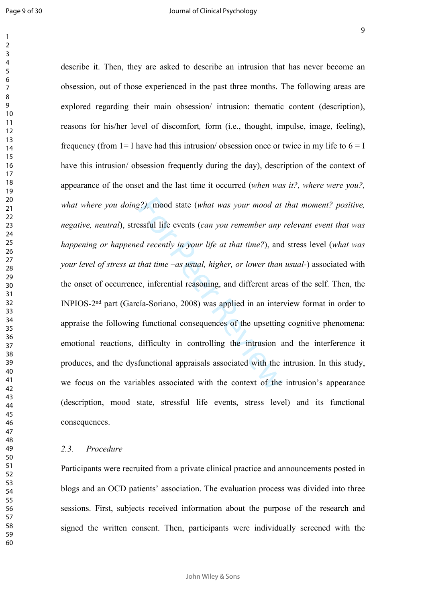$\mathbf{1}$ 

 

, mood state (what was your mood at essful life events (*can you remember any* ad recently in your life at that time?), and that time  $-$ as usual, higher, or lower than e, inferential reasoning, and different area tiadescribe it. Then, they are asked to describe an intrusion that has never become an obsession, out of those experienced in the past three months. The following areas are explored regarding their main obsession/ intrusion: thematic content (description), reasons for his/her level of discomfort*,* form (i.e., thought, impulse, image, feeling), frequency (from  $1=$  I have had this intrusion/ obsession once or twice in my life to  $6=$  I have this intrusion/ obsession frequently during the day), description of the context of appearance of the onset and the last time it occurred (*when was it?, where were you?, what where you doing?),* mood state (*what was your mood at that moment? positive, negative, neutral*), stressful life events (*can you remember any relevant event that was happening or happened recently in your life at that time?*), and stress level (*what was your level of stress at that time –as usual, higher, or lower than usual-*) associated with the onset of occurrence, inferential reasoning, and different areas of the self. Then, the INPIOS-2nd part (García-Soriano, 2008) was applied in an interview format in order to appraise the following functional consequences of the upsetting cognitive phenomena: emotional reactions, difficulty in controlling the intrusion and the interference it produces, and the dysfunctional appraisals associated with the intrusion. In this study, we focus on the variables associated with the context of the intrusion's appearance (description, mood state, stressful life events, stress level) and its functional consequences.

#### *2.3. Procedure*

Participants were recruited from a private clinical practice and announcements posted in blogs and an OCD patients' association. The evaluation process was divided into three sessions. First, subjects received information about the purpose of the research and signed the written consent. Then, participants were individually screened with the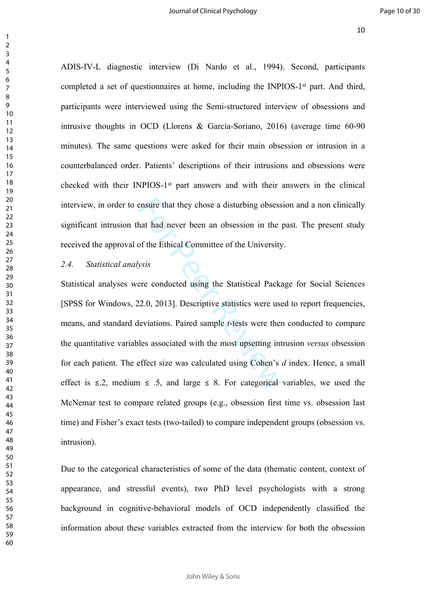ADIS-IV-L diagnostic interview (Di Nardo et al., 1994). Second, participants completed a set of questionnaires at home, including the INPIOS-1<sup>st</sup> part. And third, participants were interviewed using the Semi-structured interview of obsessions and intrusive thoughts in OCD (Llorens & García-Soriano, 2016) (average time 60-90 minutes). The same questions were asked for their main obsession or intrusion in a counterbalanced order. Patients' descriptions of their intrusions and obsessions were checked with their INPIOS-1st part answers and with their answers in the clinical interview, in order to ensure that they chose a disturbing obsession and a non clinically significant intrusion that had never been an obsession in the past. The present study received the approval of the Ethical Committee of the University.

### *2.4. Statistical analysis*

Exercise that they chose a disturbing obsess<br>hat had never been an obsession in the pof the Ethical Committee of the University<br>ysis<br>gere conducted using the Statistical Packar<br>22.0, 2013]. Descriptive statistics were use Statistical analyses were conducted using the Statistical Package for Social Sciences [SPSS for Windows, 22.0, 2013]. Descriptive statistics were used to report frequencies, means, and standard deviations. Paired sample *t*-tests were then conducted to compare the quantitative variables associated with the most upsetting intrusion *versus* obsession for each patient. The effect size was calculated using Cohen's *d* index. Hence, a small effect is  $\leq$ .2, medium  $\leq$  .5, and large  $\leq$  8. For categorical variables, we used the McNemar test to compare related groups (e.g., obsession first time vs. obsession last time) and Fisher's exact tests (two-tailed) to compare independent groups (obsession vs. intrusion).

Due to the categorical characteristics of some of the data (thematic content, context of appearance, and stressful events), two PhD level psychologists with a strong background in cognitive-behavioral models of OCD independently classified the information about these variables extracted from the interview for both the obsession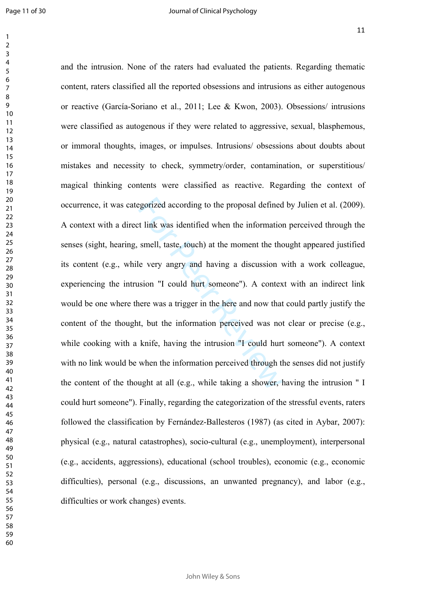$\mathbf{1}$  $\overline{2}$  $\overline{3}$  $\overline{4}$  $\overline{7}$ 

egorized according to the proposal defined<br>t link was identified when the information<br>smell, taste, touch) at the moment the the<br>le very angry and having a discussion v<br>sion "I could hurt someone"). A contex<br>nere was a tri and the intrusion. None of the raters had evaluated the patients. Regarding thematic content, raters classified all the reported obsessions and intrusions as either autogenous or reactive (García-Soriano et al., 2011; Lee & Kwon, 2003). Obsessions/ intrusions were classified as autogenous if they were related to aggressive, sexual, blasphemous, or immoral thoughts, images, or impulses. Intrusions/ obsessions about doubts about mistakes and necessity to check, symmetry/order, contamination, or superstitious/ magical thinking contents were classified as reactive. Regarding the context of occurrence, it was categorized according to the proposal defined by Julien et al. (2009). A context with a direct link was identified when the information perceived through the senses (sight, hearing, smell, taste, touch) at the moment the thought appeared justified its content (e.g., while very angry and having a discussion with a work colleague, experiencing the intrusion "I could hurt someone"). A context with an indirect link would be one where there was a trigger in the here and now that could partly justify the content of the thought, but the information perceived was not clear or precise (e.g., while cooking with a knife, having the intrusion "I could hurt someone"). A context with no link would be when the information perceived through the senses did not justify the content of the thought at all (e.g., while taking a shower, having the intrusion " I could hurt someone"). Finally, regarding the categorization of the stressful events, raters followed the classification by Fernández-Ballesteros (1987) (as cited in Aybar, 2007): physical (e.g., natural catastrophes), socio-cultural (e.g., unemployment), interpersonal (e.g., accidents, aggressions), educational (school troubles), economic (e.g., economic difficulties), personal (e.g., discussions, an unwanted pregnancy), and labor (e.g., difficulties or work changes) events.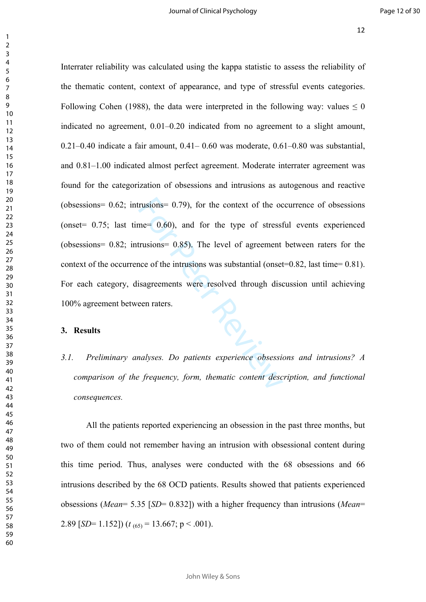rusions= 0.79), for the context of the ocher and the sense of the intrusions = 0.85). The level of agreement<br>trusions = 0.85). The level of agreement<br>notice of the intrusions was substantial (onset<br>isagreements were resolv Interrater reliability was calculated using the kappa statistic to assess the reliability of the thematic content, context of appearance, and type of stressful events categories. Following Cohen (1988), the data were interpreted in the following way: values  $\leq 0$ indicated no agreement, 0.01–0.20 indicated from no agreement to a slight amount,  $0.21-0.40$  indicate a fair amount,  $0.41-0.60$  was moderate,  $0.61-0.80$  was substantial. and 0.81–1.00 indicated almost perfect agreement. Moderate interrater agreement was found for the categorization of obsessions and intrusions as autogenous and reactive (obsessions= 0.62; intrusions= 0.79), for the context of the occurrence of obsessions (onset  $= 0.75$ ; last time  $= 0.60$ ), and for the type of stressful events experienced (obsessions= 0.82; intrusions= 0.85). The level of agreement between raters for the context of the occurrence of the intrusions was substantial (onset=0.82, last time= 0.81). For each category, disagreements were resolved through discussion until achieving 100% agreement between raters.

#### **3. Results**

*3.1. Preliminary analyses. Do patients experience obsessions and intrusions? A comparison of the frequency, form, thematic content description, and functional consequences.*

All the patients reported experiencing an obsession in the past three months, but two of them could not remember having an intrusion with obsessional content during this time period. Thus, analyses were conducted with the 68 obsessions and 66 intrusions described by the 68 OCD patients. Results showed that patients experienced obsessions (*Mean*= 5.35 [*SD*= 0.832]) with a higher frequency than intrusions (*Mean*= 2.89 [*SD*= 1.152]) ( $t_{(65)}$  = 13.667; p < .001).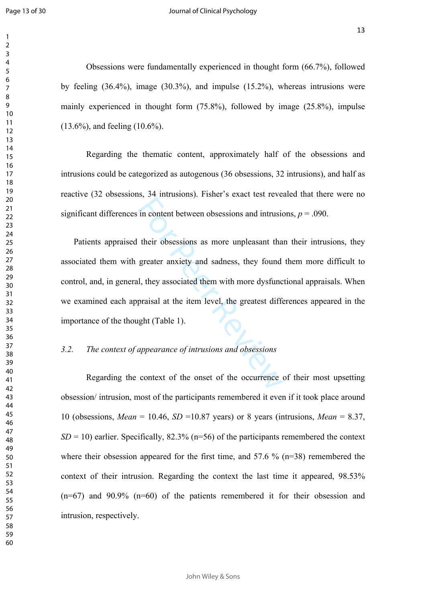$\mathbf{1}$  $\overline{2}$  $\overline{3}$  $\overline{4}$  $\overline{7}$ 

Obsessions were fundamentally experienced in thought form (66.7%), followed by feeling (36.4%), image (30.3%), and impulse (15.2%), whereas intrusions were mainly experienced in thought form (75.8%), followed by image (25.8%), impulse (13.6%), and feeling (10.6%).

Regarding the thematic content, approximately half of the obsessions and intrusions could be categorized as autogenous (36 obsessions, 32 intrusions), and half as reactive (32 obsessions, 34 intrusions). Fisher's exact test revealed that there were no significant differences in content between obsessions and intrusions,  $p = .090$ .

in content between obsessions and intrusion<br>their obsessions as more unpleasant tha<br>greater anxiety and sadness, they found<br>l, they associated them with more dysfunc<br>praisal at the item level, the greatest different<br>ght (T Patients appraised their obsessions as more unpleasant than their intrusions, they associated them with greater anxiety and sadness, they found them more difficult to control, and, in general, they associated them with more dysfunctional appraisals. When we examined each appraisal at the item level, the greatest differences appeared in the importance of the thought (Table 1).

### *3.2. The context of appearance of intrusions and obsessions*

Regarding the context of the onset of the occurrence of their most upsetting obsession/ intrusion, most of the participants remembered it even if it took place around 10 (obsessions, *Mean* = 10.46, *SD* =10.87 years) or 8 years (intrusions, *Mean* = 8.37,  $SD = 10$ ) earlier. Specifically, 82.3% (n=56) of the participants remembered the context where their obsession appeared for the first time, and 57.6 % (n=38) remembered the context of their intrusion. Regarding the context the last time it appeared, 98.53%  $(n=67)$  and 90.9%  $(n=60)$  of the patients remembered it for their obsession and intrusion, respectively.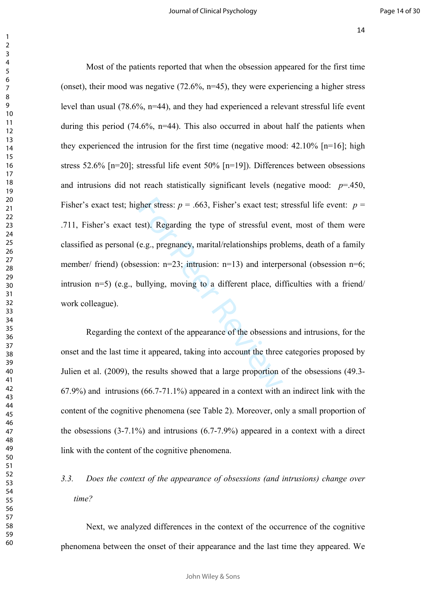gher stress:  $p = .663$ , Fisher's exact test; s<br>est). Regarding the type of stressful eve<br>(e.g., pregnancy, marital/relationships prob<br>ession: n=23; intrusion: n=13) and interpe<br>poullying, moving to a different place, dif<br>c Most of the patients reported that when the obsession appeared for the first time (onset), their mood was negative  $(72.6\%, n=45)$ , they were experiencing a higher stress level than usual  $(78.6\% \text{ n=44})$ , and they had experienced a relevant stressful life event during this period  $(74.6\%$ , n=44). This also occurred in about half the patients when they experienced the intrusion for the first time (negative mood:  $42.10\%$  [n=16]; high stress 52.6% [n=20]; stressful life event 50% [n=19]). Differences between obsessions and intrusions did not reach statistically significant levels (negative mood: *p*=.450, Fisher's exact test; higher stress:  $p = .663$ , Fisher's exact test; stressful life event:  $p =$ .711, Fisher's exact test). Regarding the type of stressful event, most of them were classified as personal (e.g., pregnancy, marital/relationships problems, death of a family member/ friend) (obsession:  $n=23$ ; intrusion:  $n=13$ ) and interpersonal (obsession  $n=6$ ; intrusion n=5) (e.g., bullying, moving to a different place, difficulties with a friend/ work colleague).

Regarding the context of the appearance of the obsessions and intrusions, for the onset and the last time it appeared, taking into account the three categories proposed by Julien et al. (2009), the results showed that a large proportion of the obsessions (49.3- 67.9%) and intrusions (66.7-71.1%) appeared in a context with an indirect link with the content of the cognitive phenomena (see Table 2). Moreover, only a small proportion of the obsessions (3-7.1%) and intrusions (6.7-7.9%) appeared in a context with a direct link with the content of the cognitive phenomena.

# *3.3. Does the context of the appearance of obsessions (and intrusions) change over time?*

Next, we analyzed differences in the context of the occurrence of the cognitive phenomena between the onset of their appearance and the last time they appeared. We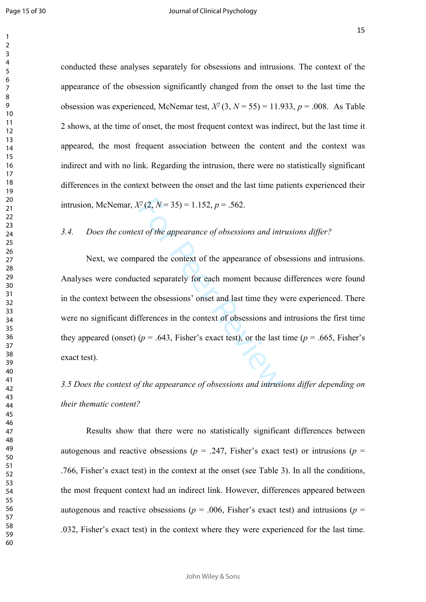conducted these analyses separately for obsessions and intrusions. The context of the appearance of the obsession significantly changed from the onset to the last time the obsession was experienced, McNemar test,  $X^2$  (3,  $N = 55$ ) = 11.933,  $p = .008$ . As Table 2 shows, at the time of onset, the most frequent context was indirect, but the last time it appeared, the most frequent association between the content and the context was indirect and with no link. Regarding the intrusion, there were no statistically significant differences in the context between the onset and the last time patients experienced their intrusion, McNemar,  $X^2(2, N = 35) = 1.152$ ,  $p = .562$ .

#### *3.4. Does the context of the appearance of obsessions and intrusions differ?*

 $f^2(2, N=35) = 1.152, p = .562.$ <br>
xt of the appearance of obsessions and introvalent and the context of the appearance of ob-<br>
ted separately for each moment because<br>
the obsessions' onset and last time they v<br>
fferences in t Next, we compared the context of the appearance of obsessions and intrusions. Analyses were conducted separately for each moment because differences were found in the context between the obsessions' onset and last time they were experienced. There were no significant differences in the context of obsessions and intrusions the first time they appeared (onset) ( $p = .643$ , Fisher's exact test), or the last time ( $p = .665$ , Fisher's exact test).

## *3.5 Does the context of the appearance of obsessions and intrusions differ depending on their thematic content?*

Results show that there were no statistically significant differences between autogenous and reactive obsessions ( $p = .247$ , Fisher's exact test) or intrusions ( $p =$ .766, Fisher's exact test) in the context at the onset (see Table 3). In all the conditions, the most frequent context had an indirect link. However, differences appeared between autogenous and reactive obsessions ( $p = .006$ , Fisher's exact test) and intrusions ( $p =$ .032, Fisher's exact test) in the context where they were experienced for the last time.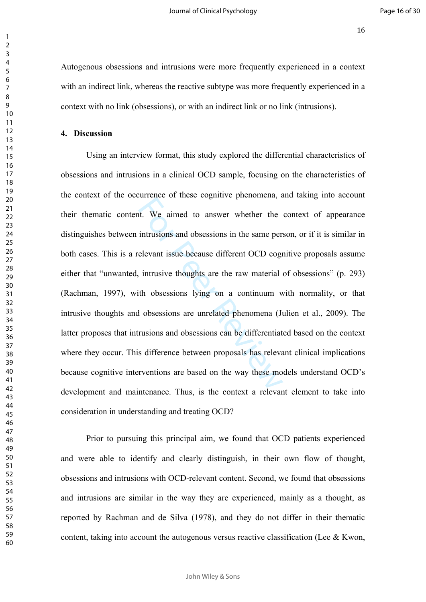Autogenous obsessions and intrusions were more frequently experienced in a context with an indirect link, whereas the reactive subtype was more frequently experienced in a context with no link (obsessions), or with an indirect link or no link (intrusions).

#### **4. Discussion**

Interest of these eigenful phenomenal, and the same per-<br>intrusions and obsessions in the same per-<br>elevant issue because different OCD cogn<br>intrusive thoughts are the raw material<br>ith obsessions lying on a continuum w<br>d o Using an interview format, this study explored the differential characteristics of obsessions and intrusions in a clinical OCD sample, focusing on the characteristics of the context of the occurrence of these cognitive phenomena, and taking into account their thematic content. We aimed to answer whether the context of appearance distinguishes between intrusions and obsessions in the same person, or if it is similar in both cases. This is a relevant issue because different OCD cognitive proposals assume either that "unwanted, intrusive thoughts are the raw material of obsessions" (p. 293) (Rachman, 1997), with obsessions lying on a continuum with normality, or that intrusive thoughts and obsessions are unrelated phenomena (Julien et al., 2009). The latter proposes that intrusions and obsessions can be differentiated based on the context where they occur. This difference between proposals has relevant clinical implications because cognitive interventions are based on the way these models understand OCD's development and maintenance. Thus, is the context a relevant element to take into consideration in understanding and treating OCD?

Prior to pursuing this principal aim, we found that OCD patients experienced and were able to identify and clearly distinguish, in their own flow of thought, obsessions and intrusions with OCD-relevant content. Second, we found that obsessions and intrusions are similar in the way they are experienced, mainly as a thought, as reported by Rachman and de Silva (1978), and they do not differ in their thematic content, taking into account the autogenous versus reactive classification (Lee  $\&$  Kwon,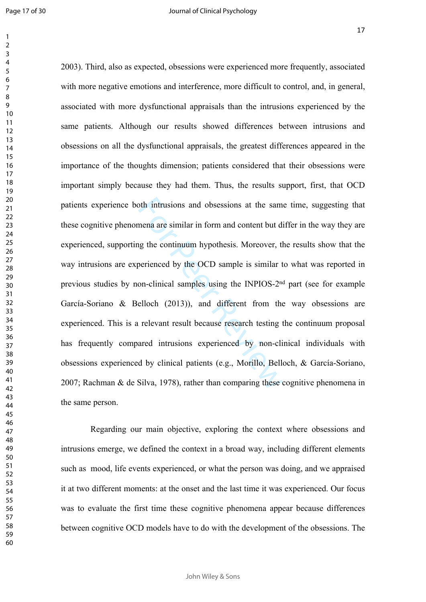oth intrusions and obsessions at the sam<br>mena are similar in form and content but d<br>ng the continuum hypothesis. Moreover, therefore, the<br>perienced by the OCD sample is similar t<br>on-clinical samples using the INPIOS-2<sup>ne</sup><br> 2003). Third, also as expected, obsessions were experienced more frequently, associated with more negative emotions and interference, more difficult to control, and, in general, associated with more dysfunctional appraisals than the intrusions experienced by the same patients. Although our results showed differences between intrusions and obsessions on all the dysfunctional appraisals, the greatest differences appeared in the importance of the thoughts dimension; patients considered that their obsessions were important simply because they had them. Thus, the results support, first, that OCD patients experience both intrusions and obsessions at the same time, suggesting that these cognitive phenomena are similar in form and content but differ in the way they are experienced, supporting the continuum hypothesis. Moreover, the results show that the way intrusions are experienced by the OCD sample is similar to what was reported in previous studies by non-clinical samples using the INPIOS-2nd part (see for example García-Soriano & Belloch (2013)), and different from the way obsessions are experienced. This is a relevant result because research testing the continuum proposal has frequently compared intrusions experienced by non-clinical individuals with obsessions experienced by clinical patients (e.g., Morillo, Belloch, & García-Soriano, 2007; Rachman & de Silva, 1978), rather than comparing these cognitive phenomena in the same person.

 Regarding our main objective, exploring the context where obsessions and intrusions emerge, we defined the context in a broad way, including different elements such as mood, life events experienced, or what the person was doing, and we appraised it at two different moments: at the onset and the last time it was experienced. Our focus was to evaluate the first time these cognitive phenomena appear because differences between cognitive OCD models have to do with the development of the obsessions. The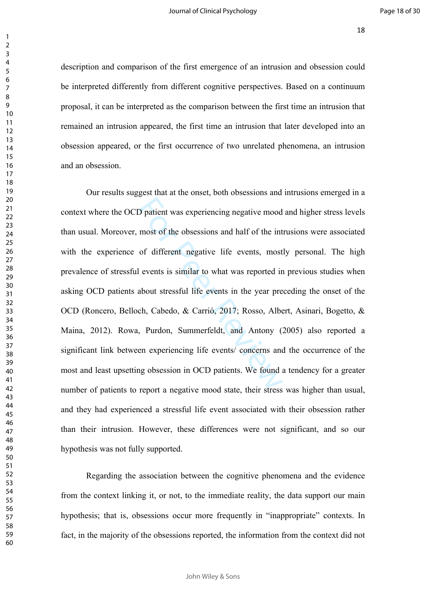description and comparison of the first emergence of an intrusion and obsession could be interpreted differently from different cognitive perspectives. Based on a continuum proposal, it can be interpreted as the comparison between the first time an intrusion that remained an intrusion appeared, the first time an intrusion that later developed into an obsession appeared, or the first occurrence of two unrelated phenomena, an intrusion and an obsession.

D patient was experiencing negative mood<br>most of the obsessions and half of the int<br>of different negative life events, most<br>l events is similar to what was reported ir<br>about stressful life events in the year pre<br>ch, Cabedo Our results suggest that at the onset, both obsessions and intrusions emerged in a context where the OCD patient was experiencing negative mood and higher stress levels than usual. Moreover, most of the obsessions and half of the intrusions were associated with the experience of different negative life events, mostly personal. The high prevalence of stressful events is similar to what was reported in previous studies when asking OCD patients about stressful life events in the year preceding the onset of the OCD (Roncero, Belloch, Cabedo, & Carrió, 2017; Rosso, Albert, Asinari, Bogetto, & Maina, 2012). Rowa, Purdon, Summerfeldt, and Antony (2005) also reported a significant link between experiencing life events/ concerns and the occurrence of the most and least upsetting obsession in OCD patients. We found a tendency for a greater number of patients to report a negative mood state, their stress was higher than usual, and they had experienced a stressful life event associated with their obsession rather than their intrusion. However, these differences were not significant, and so our hypothesis was not fully supported.

Regarding the association between the cognitive phenomena and the evidence from the context linking it, or not, to the immediate reality, the data support our main hypothesis; that is, obsessions occur more frequently in "inappropriate" contexts. In fact, in the majority of the obsessions reported, the information from the context did not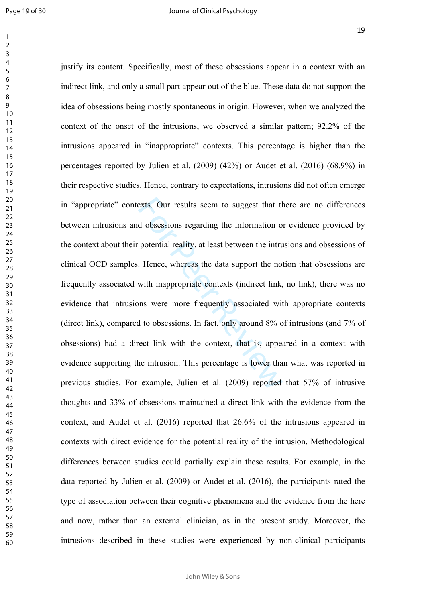$\mathbf{1}$  $\overline{2}$  $\overline{3}$  $\overline{4}$  $\overline{7}$ 

exts. Our results seem to suggest that the d obsessions regarding the information of potential reality, at least between the intru-<br>Fernandian relative, at least between the intru-<br>Fernandian relative and support the no-<br>w justify its content. Specifically, most of these obsessions appear in a context with an indirect link, and only a small part appear out of the blue. These data do not support the idea of obsessions being mostly spontaneous in origin. However, when we analyzed the context of the onset of the intrusions, we observed a similar pattern; 92.2% of the intrusions appeared in "inappropriate" contexts. This percentage is higher than the percentages reported by Julien et al. (2009) (42%) or Audet et al. (2016) (68.9%) in their respective studies. Hence, contrary to expectations, intrusions did not often emerge in "appropriate" contexts. Our results seem to suggest that there are no differences between intrusions and obsessions regarding the information or evidence provided by the context about their potential reality, at least between the intrusions and obsessions of clinical OCD samples. Hence, whereas the data support the notion that obsessions are frequently associated with inappropriate contexts (indirect link, no link), there was no evidence that intrusions were more frequently associated with appropriate contexts (direct link), compared to obsessions. In fact, only around 8% of intrusions (and 7% of obsessions) had a direct link with the context, that is, appeared in a context with evidence supporting the intrusion. This percentage is lower than what was reported in previous studies. For example, Julien et al. (2009) reported that 57% of intrusive thoughts and 33% of obsessions maintained a direct link with the evidence from the context, and Audet et al. (2016) reported that 26.6% of the intrusions appeared in contexts with direct evidence for the potential reality of the intrusion. Methodological differences between studies could partially explain these results. For example, in the data reported by Julien et al. (2009) or Audet et al. (2016), the participants rated the type of association between their cognitive phenomena and the evidence from the here and now, rather than an external clinician, as in the present study. Moreover, the intrusions described in these studies were experienced by non-clinical participants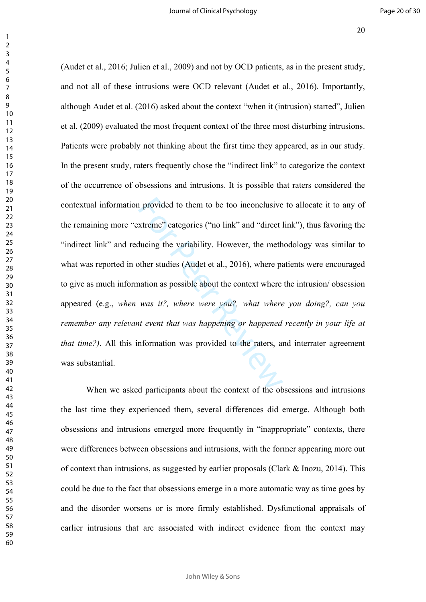is provided to them to be too inconclusive<br>xtreme" categories ("no link" and "direct l<br>ducing the variability. However, the meth<br>other studies (Audet et al., 2016), where pa<br>nation as possible about the context where<br>was i (Audet et al., 2016; Julien et al., 2009) and not by OCD patients, as in the present study, and not all of these intrusions were OCD relevant (Audet et al., 2016). Importantly, although Audet et al. (2016) asked about the context "when it (intrusion) started", Julien et al. (2009) evaluated the most frequent context of the three most disturbing intrusions. Patients were probably not thinking about the first time they appeared, as in our study. In the present study, raters frequently chose the "indirect link" to categorize the context of the occurrence of obsessions and intrusions. It is possible that raters considered the contextual information provided to them to be too inconclusive to allocate it to any of the remaining more "extreme" categories ("no link" and "direct link"), thus favoring the "indirect link" and reducing the variability. However, the methodology was similar to what was reported in other studies (Audet et al., 2016), where patients were encouraged to give as much information as possible about the context where the intrusion/ obsession appeared (e.g., *when was it?, where were you?, what where you doing?, can you remember any relevant event that was happening or happened recently in your life at that time?)*. All this information was provided to the raters, and interrater agreement was substantial.

When we asked participants about the context of the obsessions and intrusions the last time they experienced them, several differences did emerge. Although both obsessions and intrusions emerged more frequently in "inappropriate" contexts, there were differences between obsessions and intrusions, with the former appearing more out of context than intrusions, as suggested by earlier proposals (Clark & Inozu, 2014). This could be due to the fact that obsessions emerge in a more automatic way as time goes by and the disorder worsens or is more firmly established. Dysfunctional appraisals of earlier intrusions that are associated with indirect evidence from the context may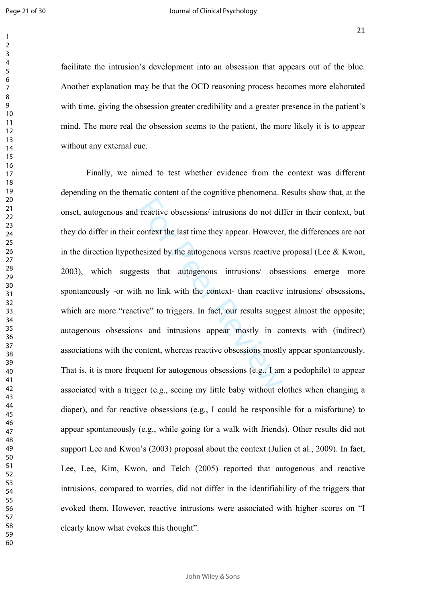> 

facilitate the intrusion's development into an obsession that appears out of the blue. Another explanation may be that the OCD reasoning process becomes more elaborated with time, giving the obsession greater credibility and a greater presence in the patient's mind. The more real the obsession seems to the patient, the more likely it is to appear without any external cue.

reactive obsessions/ intrusions do not different context the last time they appear. However<br>nesized by the autogenous versus reactive<br>ests that autogenous intrusions/ obse<br>h no link with the context- than reactive<br>tive" to Finally, we aimed to test whether evidence from the context was different depending on the thematic content of the cognitive phenomena. Results show that, at the onset, autogenous and reactive obsessions/ intrusions do not differ in their context, but they do differ in their context the last time they appear. However, the differences are not in the direction hypothesized by the autogenous versus reactive proposal (Lee  $\&$  Kwon, 2003), which suggests that autogenous intrusions/ obsessions emerge more spontaneously -or with no link with the context- than reactive intrusions/ obsessions, which are more "reactive" to triggers. In fact, our results suggest almost the opposite; autogenous obsessions and intrusions appear mostly in contexts with (indirect) associations with the content, whereas reactive obsessions mostly appear spontaneously. That is, it is more frequent for autogenous obsessions (e.g., I am a pedophile) to appear associated with a trigger (e.g., seeing my little baby without clothes when changing a diaper), and for reactive obsessions (e.g., I could be responsible for a misfortune) to appear spontaneously (e.g., while going for a walk with friends). Other results did not support Lee and Kwon's (2003) proposal about the context (Julien et al., 2009). In fact, Lee, Lee, Kim, Kwon, and Telch (2005) reported that autogenous and reactive intrusions, compared to worries, did not differ in the identifiability of the triggers that evoked them. However, reactive intrusions were associated with higher scores on "I clearly know what evokes this thought".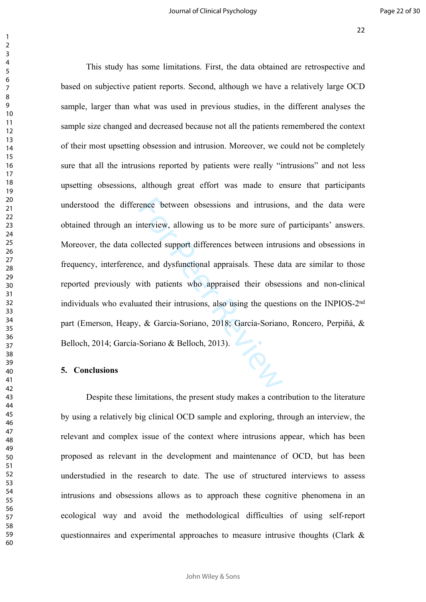rence between obsessions and intrusion<br>nterview, allowing us to be more sure of<br>performance intrusting approximate intrusting e, and dysfunctional appraisals. These data<br>with patients who appraised their obses<br>ated their i This study has some limitations. First, the data obtained are retrospective and based on subjective patient reports. Second, although we have a relatively large OCD sample, larger than what was used in previous studies, in the different analyses the sample size changed and decreased because not all the patients remembered the context of their most upsetting obsession and intrusion. Moreover, we could not be completely sure that all the intrusions reported by patients were really "intrusions" and not less upsetting obsessions, although great effort was made to ensure that participants understood the difference between obsessions and intrusions, and the data were obtained through an interview, allowing us to be more sure of participants' answers. Moreover, the data collected support differences between intrusions and obsessions in frequency, interference, and dysfunctional appraisals. These data are similar to those reported previously with patients who appraised their obsessions and non-clinical individuals who evaluated their intrusions, also using the questions on the INPIOS-2nd part (Emerson, Heapy, & Garcia-Soriano, 2018; García-Soriano, Roncero, Perpiñá, & Belloch, 2014; García-Soriano & Belloch, 2013).

#### **5. Conclusions**

Despite these limitations, the present study makes a contribution to the literature by using a relatively big clinical OCD sample and exploring, through an interview, the relevant and complex issue of the context where intrusions appear, which has been proposed as relevant in the development and maintenance of OCD, but has been understudied in the research to date. The use of structured interviews to assess intrusions and obsessions allows as to approach these cognitive phenomena in an ecological way and avoid the methodological difficulties of using self-report questionnaires and experimental approaches to measure intrusive thoughts (Clark &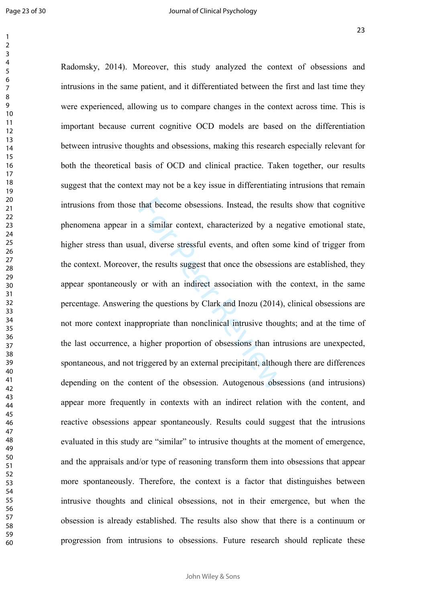$\mathbf{1}$  $\overline{2}$  $\overline{3}$  $\overline{4}$  $\overline{7}$ 

that become obsessions. Instead, the resu<br>a similar context, characterized by a ne<br>al, diverse stressful events, and often son<br>b, the results suggest that once the obsessic<br>or with an indirect association with the<br>g the qu Radomsky, 2014). Moreover, this study analyzed the context of obsessions and intrusions in the same patient, and it differentiated between the first and last time they were experienced, allowing us to compare changes in the context across time. This is important because current cognitive OCD models are based on the differentiation between intrusive thoughts and obsessions, making this research especially relevant for both the theoretical basis of OCD and clinical practice. Taken together, our results suggest that the context may not be a key issue in differentiating intrusions that remain intrusions from those that become obsessions. Instead, the results show that cognitive phenomena appear in a similar context, characterized by a negative emotional state, higher stress than usual, diverse stressful events, and often some kind of trigger from the context. Moreover, the results suggest that once the obsessions are established, they appear spontaneously or with an indirect association with the context, in the same percentage. Answering the questions by Clark and Inozu (2014), clinical obsessions are not more context inappropriate than nonclinical intrusive thoughts; and at the time of the last occurrence, a higher proportion of obsessions than intrusions are unexpected, spontaneous, and not triggered by an external precipitant, although there are differences depending on the content of the obsession. Autogenous obsessions (and intrusions) appear more frequently in contexts with an indirect relation with the content, and reactive obsessions appear spontaneously. Results could suggest that the intrusions evaluated in this study are "similar" to intrusive thoughts at the moment of emergence, and the appraisals and/or type of reasoning transform them into obsessions that appear more spontaneously. Therefore, the context is a factor that distinguishes between intrusive thoughts and clinical obsessions, not in their emergence, but when the obsession is already established. The results also show that there is a continuum or progression from intrusions to obsessions. Future research should replicate these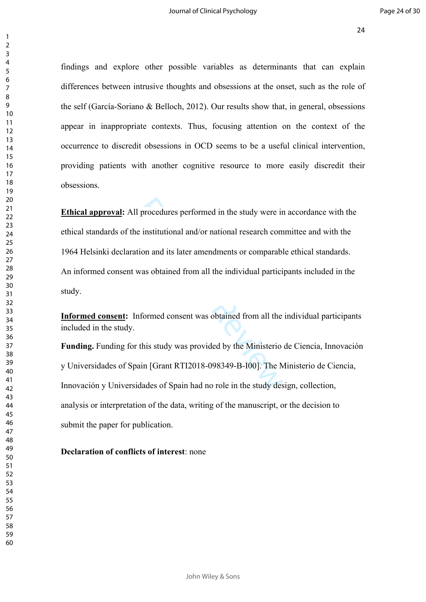findings and explore other possible variables as determinants that can explain differences between intrusive thoughts and obsessions at the onset, such as the role of the self (García-Soriano & Belloch, 2012). Our results show that, in general, obsessions appear in inappropriate contexts. Thus, focusing attention on the context of the occurrence to discredit obsessions in OCD seems to be a useful clinical intervention, providing patients with another cognitive resource to more easily discredit their obsessions.

procedures performed in the study were in<br>
e institutional and/or national research com<br>
ion and its later amendments or comparab<br>
was obtained from all the individual partici<br>
offormed consent was obtained from all the<br>
t **Ethical approval:** All procedures performed in the study were in accordance with the ethical standards of the institutional and/or national research committee and with the 1964 Helsinki declaration and its later amendments or comparable ethical standards. An informed consent was obtained from all the individual participants included in the study.

**Informed consent:** Informed consent was obtained from all the individual participants included in the study.

**Funding.** Funding for this study was provided by the Ministerio de Ciencia, Innovación y Universidades of Spain [Grant RTI2018-098349-B-I00]. The Ministerio de Ciencia, Innovación y Universidades of Spain had no role in the study design, collection, analysis or interpretation of the data, writing of the manuscript, or the decision to submit the paper for publication.

### **Declaration of conflicts of interest**: none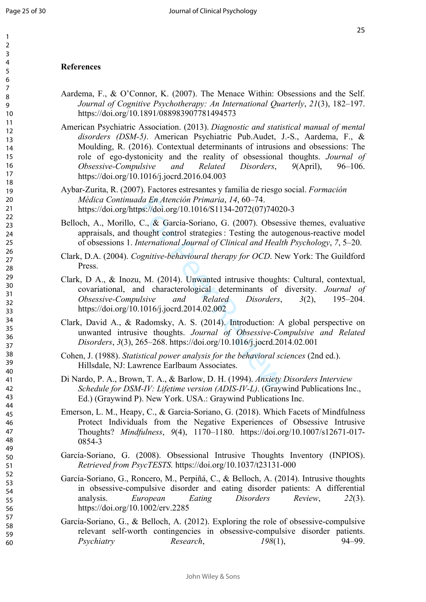## **References**

- Aardema, F., & O'Connor, K. (2007). The Menace Within: Obsessions and the Self. *Journal of Cognitive Psychotherapy: An International Quarterly*, *21*(3), 182–197. https://doi.org/10.1891/088983907781494573
- American Psychiatric Association. (2013). *Diagnostic and statistical manual of mental disorders (DSM-5)*. American Psychiatric Pub.Audet, J.-S., Aardema, F., & Moulding, R. (2016). Contextual determinants of intrusions and obsessions: The role of ego-dystonicity and the reality of obsessional thoughts. *Journal of Obsessive-Compulsive and Related Disorders*, *9*(April), 96–106. https://doi.org/10.1016/j.jocrd.2016.04.003
- Aybar-Zurita, R. (2007). Factores estresantes y familia de riesgo social. *Formación Médica Continuada En Atención Primaria*, *14*, 60–74. https://doi.org/https://doi.org/10.1016/S1134-2072(07)74020-3
- Belloch, A., Morillo, C., & García-Soriano, G. (2007). Obsessive themes, evaluative appraisals, and thought control strategies : Testing the autogenous-reactive model of obsessions 1. *International Journal of Clinical and Health Psychology*, *7*, 5–20.
- Clark, D.A. (2004). *Cognitive-behavioural therapy for OCD*. New York: The Guildford Press.
- da En Atención Primaria, 14, 60–74.<br>ps://doi.org/10.1016/S1134-2072(07)7402<br>C., & García-Soriano, G. (2007). Obsess<br>iought control strategies : Testing the automorphic ontrol strategies : Testing the automorphic of Clinic Clark, D A., & Inozu, M. (2014). Unwanted intrusive thoughts: Cultural, contextual, covariational, and characterological determinants of diversity. *Journal of Obsessive-Compulsive and Related Disorders*, *3*(2), 195–204. https://doi.org/10.1016/j.jocrd.2014.02.002
- Clark, David A., & Radomsky, A. S. (2014). Introduction: A global perspective on unwanted intrusive thoughts. *Journal of Obsessive-Compulsive and Related Disorders*, *3*(3), 265–268. https://doi.org/10.1016/j.jocrd.2014.02.001
- Cohen, J. (1988). *Statistical power analysis for the behavioral sciences* (2nd ed.). Hillsdale, NJ: Lawrence Earlbaum Associates.
- Di Nardo, P. A., Brown, T. A., & Barlow, D. H. (1994). *Anxiety Disorders Interview Schedule for DSM-IV: Lifetime version (ADIS-IV-L)*. (Graywind Publications Inc., Ed.) (Graywind P). New York. USA.: Graywind Publications Inc.
- Emerson, L. M., Heapy, C., & Garcia-Soriano, G. (2018). Which Facets of Mindfulness Protect Individuals from the Negative Experiences of Obsessive Intrusive Thoughts? *Mindfulness*, *9*(4), 1170–1180. https://doi.org/10.1007/s12671-017- 0854-3
- García-Soriano, G. (2008). Obsessional Intrusive Thoughts Inventory (INPIOS). *Retrieved from PsycTESTS.* https://doi.org/10.1037/t23131-000
- García-Soriano, G., Roncero, M., Perpiñá, C., & Belloch, A. (2014). Intrusive thoughts in obsessive-compulsive disorder and eating disorder patients: A differential analysis. *European Eating Disorders Review*, *22*(3). https://doi.org/10.1002/erv.2285
- García-Soriano, G., & Belloch, A. (2012). Exploring the role of obsessive-compulsive relevant self-worth contingencies in obsessive-compulsive disorder patients. *Psychiatry Research*, *198*(1), 94–99.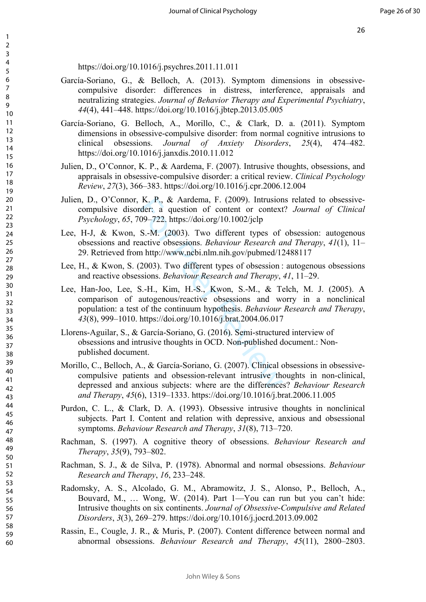26

https://doi.org/10.1016/j.psychres.2011.11.011

- García-Soriano, G., & Belloch, A. (2013). Symptom dimensions in obsessivecompulsive disorder: differences in distress, interference, appraisals and neutralizing strategies. *Journal of Behavior Therapy and Experimental Psychiatry*, *44*(4), 441–448. https://doi.org/10.1016/j.jbtep.2013.05.005
- García-Soriano, G. Belloch, A., Morillo, C., & Clark, D. a. (2011). Symptom dimensions in obsessive-compulsive disorder: from normal cognitive intrusions to clinical obsessions. *Journal of Anxiety Disorders*, *25*(4), 474–482. https://doi.org/10.1016/j.janxdis.2010.11.012
- Julien, D., O'Connor, K. P., & Aardema, F. (2007). Intrusive thoughts, obsessions, and appraisals in obsessive-compulsive disorder: a critical review. *Clinical Psychology Review*, *27*(3), 366–383. https://doi.org/10.1016/j.cpr.2006.12.004
- Julien, D., O'Connor, K. P., & Aardema, F. (2009). Intrusions related to obsessivecompulsive disorder: a question of content or context? *Journal of Clinical Psychology*, *65*, 709–722. https://doi.org/10.1002/jclp
- Lee, H-J, & Kwon, S.-M. (2003). Two different types of obsession: autogenous obsessions and reactive obsessions. *Behaviour Research and Therapy*, *41*(1), 11– 29. Retrieved from http://www.ncbi.nlm.nih.gov/pubmed/12488117
- Lee, H., & Kwon, S. (2003). Two different types of obsession : autogenous obsessions and reactive obsessions. *Behaviour Research and Therapy*, *41*, 11–29.
- K. P., & Aardema, F. (2009). Intrusion<br>rder: a question of content or context<br>709–722. https://doi.org/10.1002/jclp<br>S.-M. (2003). Two different types of<br>aactive obsessions. *Behaviour Research a*<br>m http://www.ncbi.nlm.nih Lee, Han-Joo, Lee, S.-H., Kim, H.-S., Kwon, S.-M., & Telch, M. J. (2005). A comparison of autogenous/reactive obsessions and worry in a nonclinical population: a test of the continuum hypothesis. *Behaviour Research and Therapy*, *43*(8), 999–1010. https://doi.org/10.1016/j.brat.2004.06.017
- Llorens-Aguilar, S., & García-Soriano, G. (2016). Semi-structured interview of obsessions and intrusive thoughts in OCD. Non-published document.: Nonpublished document.
- Morillo, C., Belloch, A., & García-Soriano, G. (2007). Clinical obsessions in obsessivecompulsive patients and obsession-relevant intrusive thoughts in non-clinical, depressed and anxious subjects: where are the differences? *Behaviour Research and Therapy*, *45*(6), 1319–1333. https://doi.org/10.1016/j.brat.2006.11.005
- Purdon, C. L., & Clark, D. A. (1993). Obsessive intrusive thoughts in nonclinical subjects. Part I. Content and relation with depressive, anxious and obsessional symptoms. *Behaviour Research and Therapy*, *31*(8), 713–720.
- Rachman, S. (1997). A cognitive theory of obsessions. *Behaviour Research and Therapy*, *35*(9), 793–802.
- Rachman, S. J., & de Silva, P. (1978). Abnormal and normal obsessions. *Behaviour Research and Therapy*, *16*, 233–248.
- Radomsky, A. S., Alcolado, G. M., Abramowitz, J. S., Alonso, P., Belloch, A., Bouvard, M., … Wong, W. (2014). Part 1—You can run but you can't hide: Intrusive thoughts on six continents. *Journal of Obsessive-Compulsive and Related Disorders*, *3*(3), 269–279. https://doi.org/10.1016/j.jocrd.2013.09.002
- Rassin, E., Cougle, J. R., & Muris, P. (2007). Content difference between normal and abnormal obsessions. *Behaviour Research and Therapy*, *45*(11), 2800–2803.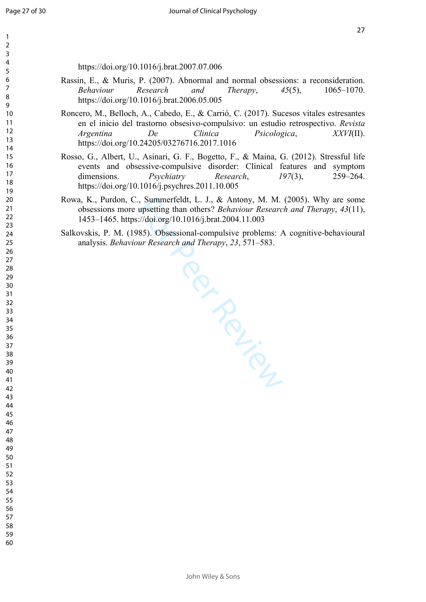https://doi.org/10.1016/j.brat.2007.07.006

- Rassin, E., & Muris, P. (2007). Abnormal and normal obsessions: a reconsideration. *Behaviour Research and Therapy*, *45*(5), 1065–1070. https://doi.org/10.1016/j.brat.2006.05.005
- Roncero, M., Belloch, A., Cabedo, E., & Carrió, C. (2017). Sucesos vitales estresantes en el inicio del trastorno obsesivo-compulsivo: un estudio retrospectivo. *Revista Argentina De Clinica Psicologica*, *XXVI*(II). https://doi.org/10.24205/03276716.2017.1016
- Rosso, G., Albert, U., Asinari, G. F., Bogetto, F., & Maina, G. (2012). Stressful life events and obsessive-compulsive disorder: Clinical features and symptom dimensions. *Psychiatry Research*, *197*(3), 259–264. https://doi.org/10.1016/j.psychres.2011.10.005
- Rowa, K., Purdon, C., Summerfeldt, L. J., & Antony, M. M. (2005). Why are some obsessions more upsetting than others? *Behaviour Research and Therapy*, *43*(11), 1453–1465. https://doi.org/10.1016/j.brat.2004.11.003
- Salkovskis, P. M. (1985). Obsessional-compulsive problems: A cognitive-behavioural analysis. *Behaviour Research and Therapy*, *23*, 571–583.

Particle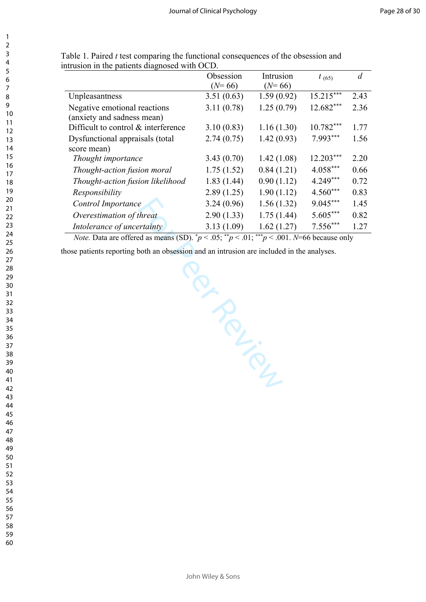| 3                                         |
|-------------------------------------------|
| 4                                         |
| 5                                         |
| 6                                         |
|                                           |
|                                           |
| 8                                         |
| $\mathbf$<br>€                            |
| 10                                        |
| 1<br>1                                    |
| 1<br>$\overline{2}$                       |
| 13                                        |
|                                           |
| 1<br>4                                    |
| 15                                        |
| 16                                        |
| 17                                        |
| 18                                        |
| 19                                        |
|                                           |
| 20                                        |
| $\overline{21}$                           |
| $\overline{2}$<br>$\overline{2}$          |
| $\overline{2}$<br>3                       |
| $\frac{24}{3}$                            |
| 25                                        |
|                                           |
| 26                                        |
| $^{27}$                                   |
| 28                                        |
| 29                                        |
| 30                                        |
| $\overline{\textbf{3}}$                   |
|                                           |
| $\overline{\mathbf{3}}$<br>$\overline{2}$ |
| $\overline{\mathbf{3}}$<br>3              |
| 34                                        |
| 35                                        |
| 36                                        |
| 37                                        |
|                                           |
| 38                                        |
| 39                                        |
| $\overline{10}$                           |
| 41                                        |
| 42                                        |
| ξ<br>4.                                   |
|                                           |
| 44                                        |
| 45                                        |
| 46                                        |
| 4.                                        |
| 48                                        |
| 49<br>€                                   |
| 50                                        |
|                                           |
| 51                                        |
| c<br>5<br>2                               |
| 5<br>ξ                                    |
| c<br>$\frac{1}{2}$                        |
| c<br>$\frac{1}{2}$                        |
| 56                                        |
|                                           |
| c<br>λ,                                   |

 

> Table 1. Paired *t* test comparing the functional consequences of the obsession and intrusion in the patients diagnosed with OCD.

|                                     | Obsession  | Intrusion  | $t_{(65)}$  | d    |
|-------------------------------------|------------|------------|-------------|------|
|                                     | $(N=66)$   | $(N=66)$   |             |      |
| Unpleasantness                      | 3.51(0.63) | 1.59(0.92) | $15.215***$ | 2.43 |
| Negative emotional reactions        | 3.11(0.78) | 1.25(0.79) | 12.682***   | 2.36 |
| (anxiety and sadness mean)          |            |            |             |      |
| Difficult to control & interference | 3.10(0.83) | 1.16(1.30) | $10.782***$ | 1.77 |
| Dysfunctional appraisals (total     | 2.74(0.75) | 1.42(0.93) | 7.993***    | 1.56 |
| score mean)                         |            |            |             |      |
| Thought importance                  | 3.43(0.70) | 1.42(1.08) | $12.203***$ | 2.20 |
| Thought-action fusion moral         | 1.75(1.52) | 0.84(1.21) | $4.058***$  | 0.66 |
| Thought-action fusion likelihood    | 1.83(1.44) | 0.90(1.12) | 4.249***    | 0.72 |
| Responsibility                      | 2.89(1.25) | 1.90(1.12) | $4.560***$  | 0.83 |
| Control Importance                  | 3.24(0.96) | 1.56(1.32) | $9.045***$  | 1.45 |
| Overestimation of threat            | 2.90(1.33) | 1.75(1.44) | $5.605***$  | 0.82 |
| Intolerance of uncertainty          | 3.13(1.09) | 1.62(1.27) | $7.556***$  | 1.27 |

*Note.* Data are offered as means (SD).  $p < .05$ ;  $p < .01$ ;  $p < .01$ ;  $p < .001$ . *N*=66 because only

Per Person

those patients reporting both an obsession and an intrusion are included in the analyses.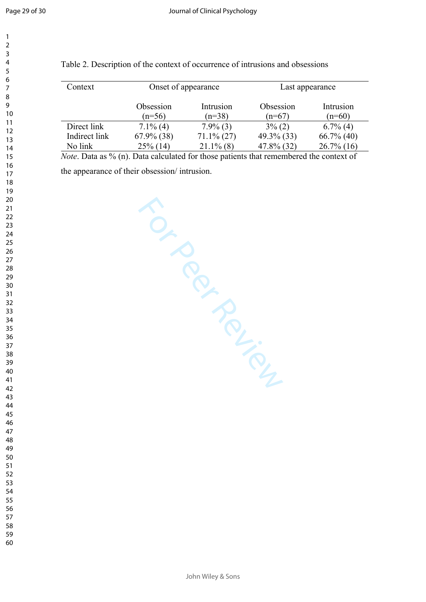| Context       | Onset of appearance   |                       | Last appearance       |                       |  |
|---------------|-----------------------|-----------------------|-----------------------|-----------------------|--|
|               | Obsession<br>$(n=56)$ | Intrusion<br>$(n=38)$ | Obsession<br>$(n=67)$ | Intrusion<br>$(n=60)$ |  |
| Direct link   | $7.1\%$ (4)           | $7.9\%$ (3)           | $3\%$ (2)             | $6.7\%$ (4)           |  |
| Indirect link | $67.9\%$ (38)         | $71.1\% (27)$         | $49.3\%$ (33)         | $66.7\%$ (40)         |  |
| No link       | $25\%$ (14)           | $21.1\%$ (8)          | $47.8\%$ (32)         | $26.7\%$ (16)         |  |

## Table 2. Description of the context of occurrence of intrusions and obsessions

*Note*. Data as % (n). Data calculated for those patients that remembered the context of

the appearance of their obsession/ intrusion.

TON PROPILLIPS